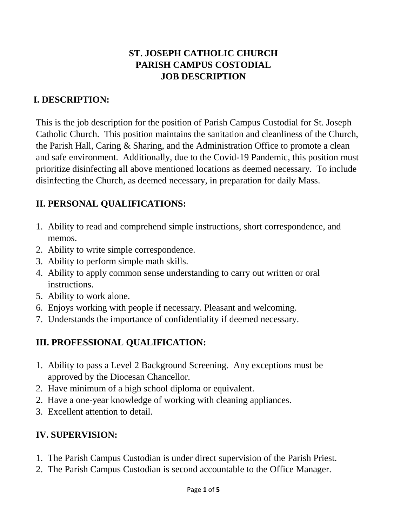# **ST. JOSEPH CATHOLIC CHURCH PARISH CAMPUS COSTODIAL JOB DESCRIPTION**

# **I. DESCRIPTION:**

This is the job description for the position of Parish Campus Custodial for St. Joseph Catholic Church. This position maintains the sanitation and cleanliness of the Church, the Parish Hall, Caring & Sharing, and the Administration Office to promote a clean and safe environment. Additionally, due to the Covid-19 Pandemic, this position must prioritize disinfecting all above mentioned locations as deemed necessary. To include disinfecting the Church, as deemed necessary, in preparation for daily Mass.

# **II. PERSONAL QUALIFICATIONS:**

- 1. Ability to read and comprehend simple instructions, short correspondence, and memos.
- 2. Ability to write simple correspondence.
- 3. Ability to perform simple math skills.
- 4. Ability to apply common sense understanding to carry out written or oral instructions.
- 5. Ability to work alone.
- 6. Enjoys working with people if necessary. Pleasant and welcoming.
- 7. Understands the importance of confidentiality if deemed necessary.

# **III. PROFESSIONAL QUALIFICATION:**

- 1. Ability to pass a Level 2 Background Screening. Any exceptions must be approved by the Diocesan Chancellor.
- 2. Have minimum of a high school diploma or equivalent.
- 2. Have a one-year knowledge of working with cleaning appliances.
- 3. Excellent attention to detail.

# **IV. SUPERVISION:**

- 1. The Parish Campus Custodian is under direct supervision of the Parish Priest.
- 2. The Parish Campus Custodian is second accountable to the Office Manager.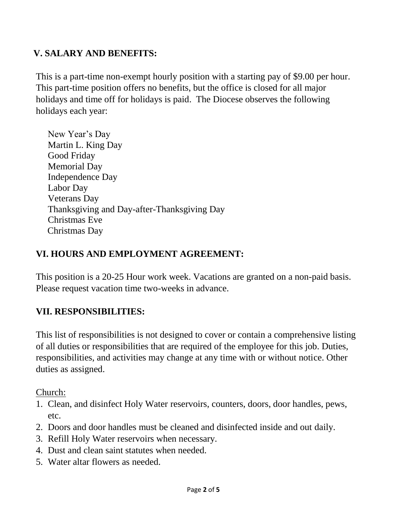### **V. SALARY AND BENEFITS:**

This is a part-time non-exempt hourly position with a starting pay of \$9.00 per hour. This part-time position offers no benefits, but the office is closed for all major holidays and time off for holidays is paid. The Diocese observes the following holidays each year:

New Year's Day Martin L. King Day Good Friday Memorial Day Independence Day Labor Day Veterans Day Thanksgiving and Day-after-Thanksgiving Day Christmas Eve Christmas Day

#### **VI. HOURS AND EMPLOYMENT AGREEMENT:**

This position is a 20-25 Hour work week. Vacations are granted on a non-paid basis. Please request vacation time two-weeks in advance.

#### **VII. RESPONSIBILITIES:**

This list of responsibilities is not designed to cover or contain a comprehensive listing of all duties or responsibilities that are required of the employee for this job. Duties, responsibilities, and activities may change at any time with or without notice. Other duties as assigned.

Church:

- 1. Clean, and disinfect Holy Water reservoirs, counters, doors, door handles, pews, etc.
- 2. Doors and door handles must be cleaned and disinfected inside and out daily.
- 3. Refill Holy Water reservoirs when necessary.
- 4. Dust and clean saint statutes when needed.
- 5. Water altar flowers as needed.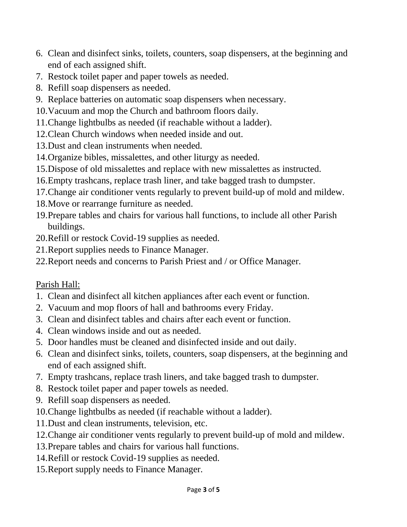- 6. Clean and disinfect sinks, toilets, counters, soap dispensers, at the beginning and end of each assigned shift.
- 7. Restock toilet paper and paper towels as needed.
- 8. Refill soap dispensers as needed.
- 9. Replace batteries on automatic soap dispensers when necessary.
- 10.Vacuum and mop the Church and bathroom floors daily.
- 11.Change lightbulbs as needed (if reachable without a ladder).
- 12.Clean Church windows when needed inside and out.
- 13.Dust and clean instruments when needed.
- 14.Organize bibles, missalettes, and other liturgy as needed.
- 15.Dispose of old missalettes and replace with new missalettes as instructed.
- 16.Empty trashcans, replace trash liner, and take bagged trash to dumpster.
- 17.Change air conditioner vents regularly to prevent build-up of mold and mildew.
- 18.Move or rearrange furniture as needed.
- 19.Prepare tables and chairs for various hall functions, to include all other Parish buildings.
- 20.Refill or restock Covid-19 supplies as needed.
- 21.Report supplies needs to Finance Manager.
- 22.Report needs and concerns to Parish Priest and / or Office Manager.

## Parish Hall:

- 1. Clean and disinfect all kitchen appliances after each event or function.
- 2. Vacuum and mop floors of hall and bathrooms every Friday.
- 3. Clean and disinfect tables and chairs after each event or function.
- 4. Clean windows inside and out as needed.
- 5. Door handles must be cleaned and disinfected inside and out daily.
- 6. Clean and disinfect sinks, toilets, counters, soap dispensers, at the beginning and end of each assigned shift.
- 7. Empty trashcans, replace trash liners, and take bagged trash to dumpster.
- 8. Restock toilet paper and paper towels as needed.
- 9. Refill soap dispensers as needed.
- 10.Change lightbulbs as needed (if reachable without a ladder).
- 11.Dust and clean instruments, television, etc.
- 12.Change air conditioner vents regularly to prevent build-up of mold and mildew.
- 13.Prepare tables and chairs for various hall functions.
- 14.Refill or restock Covid-19 supplies as needed.
- 15.Report supply needs to Finance Manager.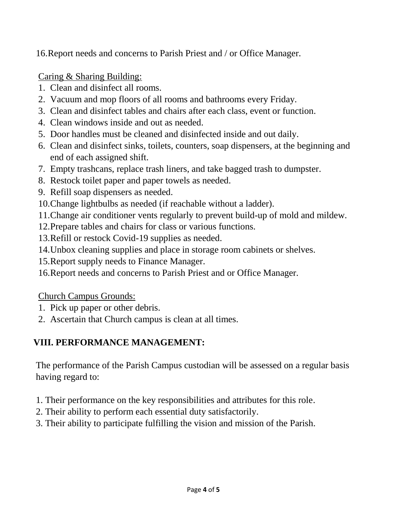16.Report needs and concerns to Parish Priest and / or Office Manager.

Caring & Sharing Building:

- 1. Clean and disinfect all rooms.
- 2. Vacuum and mop floors of all rooms and bathrooms every Friday.
- 3. Clean and disinfect tables and chairs after each class, event or function.
- 4. Clean windows inside and out as needed.
- 5. Door handles must be cleaned and disinfected inside and out daily.
- 6. Clean and disinfect sinks, toilets, counters, soap dispensers, at the beginning and end of each assigned shift.
- 7. Empty trashcans, replace trash liners, and take bagged trash to dumpster.
- 8. Restock toilet paper and paper towels as needed.
- 9. Refill soap dispensers as needed.
- 10.Change lightbulbs as needed (if reachable without a ladder).
- 11.Change air conditioner vents regularly to prevent build-up of mold and mildew.
- 12.Prepare tables and chairs for class or various functions.
- 13.Refill or restock Covid-19 supplies as needed.
- 14.Unbox cleaning supplies and place in storage room cabinets or shelves.
- 15.Report supply needs to Finance Manager.
- 16.Report needs and concerns to Parish Priest and or Office Manager.

Church Campus Grounds:

- 1. Pick up paper or other debris.
- 2. Ascertain that Church campus is clean at all times.

# **VIII. PERFORMANCE MANAGEMENT:**

The performance of the Parish Campus custodian will be assessed on a regular basis having regard to:

- 1. Their performance on the key responsibilities and attributes for this role.
- 2. Their ability to perform each essential duty satisfactorily.
- 3. Their ability to participate fulfilling the vision and mission of the Parish.